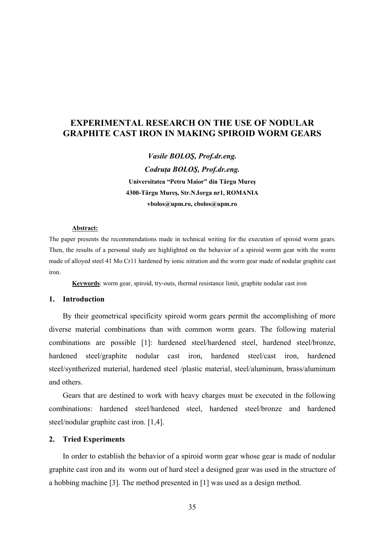# **EXPERIMENTAL RESEARCH ON THE USE OF NODULAR GRAPHITE CAST IRON IN MAKING SPIROID WORM GEARS**

*Vasile BOLOŞ, Prof.dr.eng. Codruţa BOLOŞ, Prof.dr.eng.*  **Universitatea "Petru Maior" din Târgu Mureş 4300-Târgu Mureş, Str.N.Iorga nr1, ROMANIA vbolos@upm.ro, [cbolos@upm.ro](mailto:cbolos@upm.ro)**

#### **Abstract:**

The paper presents the recommendations made in technical writing for the execution of spiroid worm gears. Then, the results of a personal study are highlighted on the behavior of a spiroid worm gear with the worm made of alloyed steel 41 Mo Cr11 hardened by ionic nitration and the worm gear made of nodular graphite cast iron.

**Keywords**: worm gear, spiroid, try-outs, thermal resistance limit, graphite nodular cast iron

#### **1. Introduction**

By their geometrical specificity spiroid worm gears permit the accomplishing of more diverse material combinations than with common worm gears. The following material combinations are possible [1]: hardened steel/hardened steel, hardened steel/bronze, hardened steel/graphite nodular cast iron, hardened steel/cast iron, hardened steel/syntherized material, hardened steel /plastic material, steel/aluminum, brass/aluminum and others.

Gears that are destined to work with heavy charges must be executed in the following combinations: hardened steel/hardened steel, hardened steel/bronze and hardened steel/nodular graphite cast iron. [1,4].

### **2. Tried Experiments**

In order to establish the behavior of a spiroid worm gear whose gear is made of nodular graphite cast iron and its worm out of hard steel a designed gear was used in the structure of a hobbing machine [3]. The method presented in [1] was used as a design method.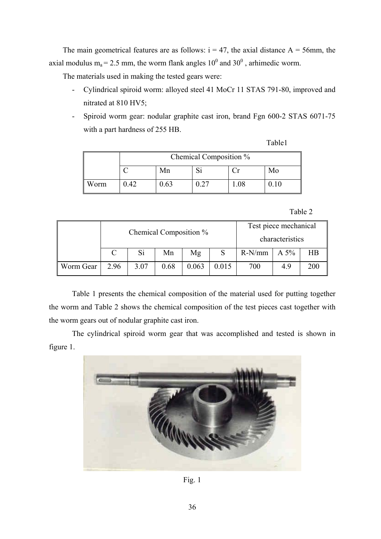The main geometrical features are as follows:  $i = 47$ , the axial distance A = 56mm, the axial modulus  $m_a = 2.5$  mm, the worm flank angles  $10^0$  and  $30^0$ , arhimedic worm.

The materials used in making the tested gears were:

- Cylindrical spiroid worm: alloyed steel 41 MoCr 11 STAS 791-80, improved and nitrated at 810 HV5;
- Spiroid worm gear: nodular graphite cast iron, brand Fgn 600-2 STAS 6071-75 with a part hardness of 255 HB.

Table1

|      | Chemical Composition % |     |      |  |    |  |  |  |
|------|------------------------|-----|------|--|----|--|--|--|
|      |                        | Mn  |      |  | Mo |  |  |  |
| Worm | 1.42                   | .63 | - 27 |  |    |  |  |  |

## Table 2

|           | Chemical Composition % |      |      |       |       | Test piece mechanical<br>characteristics |      |           |
|-----------|------------------------|------|------|-------|-------|------------------------------------------|------|-----------|
|           |                        | Si   | Mn   | Mg    |       | $R-N/mm$                                 | A 5% | <b>HB</b> |
| Worm Gear | 2.96                   | 3.07 | 0.68 | 0.063 | 0.015 | 700                                      | 4.9  | 200       |

Table 1 presents the chemical composition of the material used for putting together the worm and Table 2 shows the chemical composition of the test pieces cast together with the worm gears out of nodular graphite cast iron.

The cylindrical spiroid worm gear that was accomplished and tested is shown in figure 1.



Fig. 1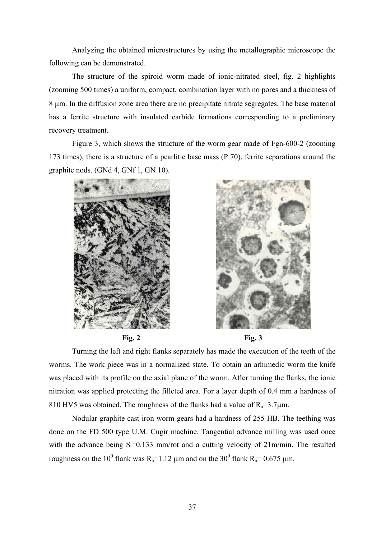Analyzing the obtained microstructures by using the metallographic microscope the following can be demonstrated.

The structure of the spiroid worm made of ionic-nitrated steel, fig. 2 highlights (zooming 500 times) a uniform, compact, combination layer with no pores and a thickness of 8 μm. In the diffusion zone area there are no precipitate nitrate segregates. The base material has a ferrite structure with insulated carbide formations corresponding to a preliminary recovery treatment.

Figure 3, which shows the structure of the worm gear made of Fgn-600-2 (zooming 173 times), there is a structure of a pearlitic base mass (P 70), ferrite separations around the graphite nods. (GNd 4, GNf 1, GN 10).







Turning the left and right flanks separately has made the execution of the teeth of the worms. The work piece was in a normalized state. To obtain an arhimedic worm the knife was placed with its profile on the axial plane of the worm. After turning the flanks, the ionic nitration was applied protecting the filleted area. For a layer depth of 0.4 mm a hardness of 810 HV5 was obtained. The roughness of the flanks had a value of  $R_a=3.7 \mu m$ .

Nodular graphite cast iron worm gears had a hardness of 255 HB. The teething was done on the FD 500 type U.M. Cugir machine. Tangential advance milling was used once with the advance being  $S_t=0.133$  mm/rot and a cutting velocity of  $21$ m/min. The resulted roughness on the 10<sup>0</sup> flank was R<sub>a</sub>=1.12 μm and on the 30<sup>0</sup> flank R<sub>a</sub>= 0.675 μm.